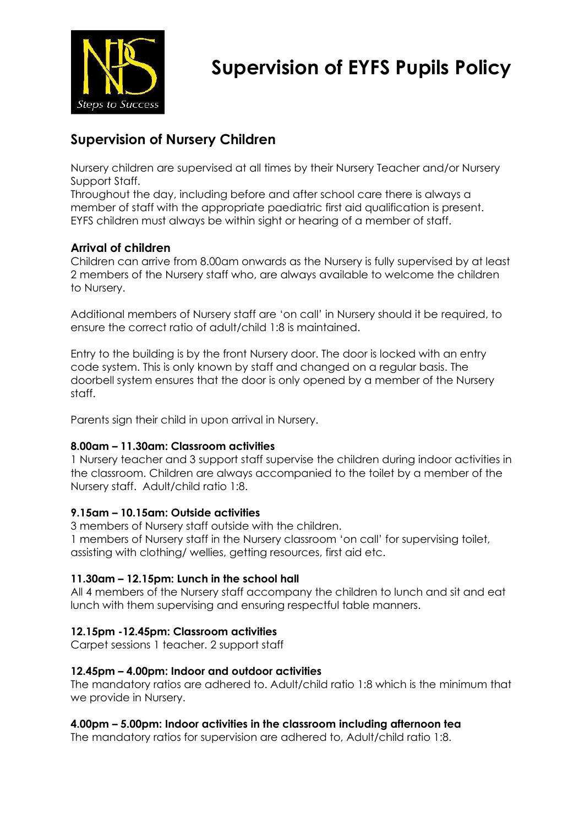

# **Supervision of EYFS Pupils Policy**

# **Supervision of Nursery Children**

Nursery children are supervised at all times by their Nursery Teacher and/or Nursery Support Staff.

Throughout the day, including before and after school care there is always a member of staff with the appropriate paediatric first aid qualification is present. EYFS children must always be within sight or hearing of a member of staff.

### **Arrival of children**

Children can arrive from 8.00am onwards as the Nursery is fully supervised by at least 2 members of the Nursery staff who, are always available to welcome the children to Nursery.

Additional members of Nursery staff are 'on call' in Nursery should it be required, to ensure the correct ratio of adult/child 1:8 is maintained.

Entry to the building is by the front Nursery door. The door is locked with an entry code system. This is only known by staff and changed on a regular basis. The doorbell system ensures that the door is only opened by a member of the Nursery staff.

Parents sign their child in upon arrival in Nursery.

#### **8.00am – 11.30am: Classroom activities**

1 Nursery teacher and 3 support staff supervise the children during indoor activities in the classroom. Children are always accompanied to the toilet by a member of the Nursery staff. Adult/child ratio 1:8.

#### **9.15am – 10.15am: Outside activities**

3 members of Nursery staff outside with the children.

1 members of Nursery staff in the Nursery classroom 'on call' for supervising toilet, assisting with clothing/ wellies, getting resources, first aid etc.

#### **11.30am – 12.15pm: Lunch in the school hall**

All 4 members of the Nursery staff accompany the children to lunch and sit and eat lunch with them supervising and ensuring respectful table manners.

#### **12.15pm -12.45pm: Classroom activities**

Carpet sessions 1 teacher. 2 support staff

#### **12.45pm – 4.00pm: Indoor and outdoor activities**

The mandatory ratios are adhered to. Adult/child ratio 1:8 which is the minimum that we provide in Nursery.

#### **4.00pm – 5.00pm: Indoor activities in the classroom including afternoon tea**

The mandatory ratios for supervision are adhered to, Adult/child ratio 1:8.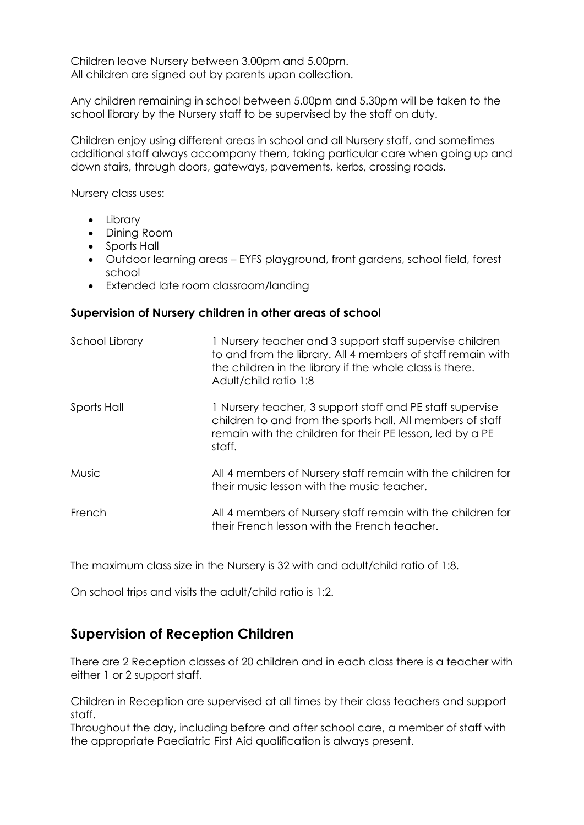Children leave Nursery between 3.00pm and 5.00pm. All children are signed out by parents upon collection.

Any children remaining in school between 5.00pm and 5.30pm will be taken to the school library by the Nursery staff to be supervised by the staff on duty.

Children enjoy using different areas in school and all Nursery staff, and sometimes additional staff always accompany them, taking particular care when going up and down stairs, through doors, gateways, pavements, kerbs, crossing roads.

Nursery class uses:

- Library
- Dining Room
- Sports Hall
- Outdoor learning areas EYFS playground, front gardens, school field, forest school
- Extended late room classroom/landing

#### **Supervision of Nursery children in other areas of school**

| School Library | 1 Nursery teacher and 3 support staff supervise children<br>to and from the library. All 4 members of staff remain with<br>the children in the library if the whole class is there.<br>Adult/child ratio 1:8 |
|----------------|--------------------------------------------------------------------------------------------------------------------------------------------------------------------------------------------------------------|
| Sports Hall    | 1 Nursery teacher, 3 support staff and PE staff supervise<br>children to and from the sports hall. All members of staff<br>remain with the children for their PE lesson, led by a PE<br>staff.               |
| <b>Music</b>   | All 4 members of Nursery staff remain with the children for<br>their music lesson with the music teacher.                                                                                                    |
| French         | All 4 members of Nursery staff remain with the children for<br>their French lesson with the French teacher.                                                                                                  |

The maximum class size in the Nursery is 32 with and adult/child ratio of 1:8.

On school trips and visits the adult/child ratio is 1:2.

## **Supervision of Reception Children**

There are 2 Reception classes of 20 children and in each class there is a teacher with either 1 or 2 support staff.

Children in Reception are supervised at all times by their class teachers and support staff.

Throughout the day, including before and after school care, a member of staff with the appropriate Paediatric First Aid qualification is always present.